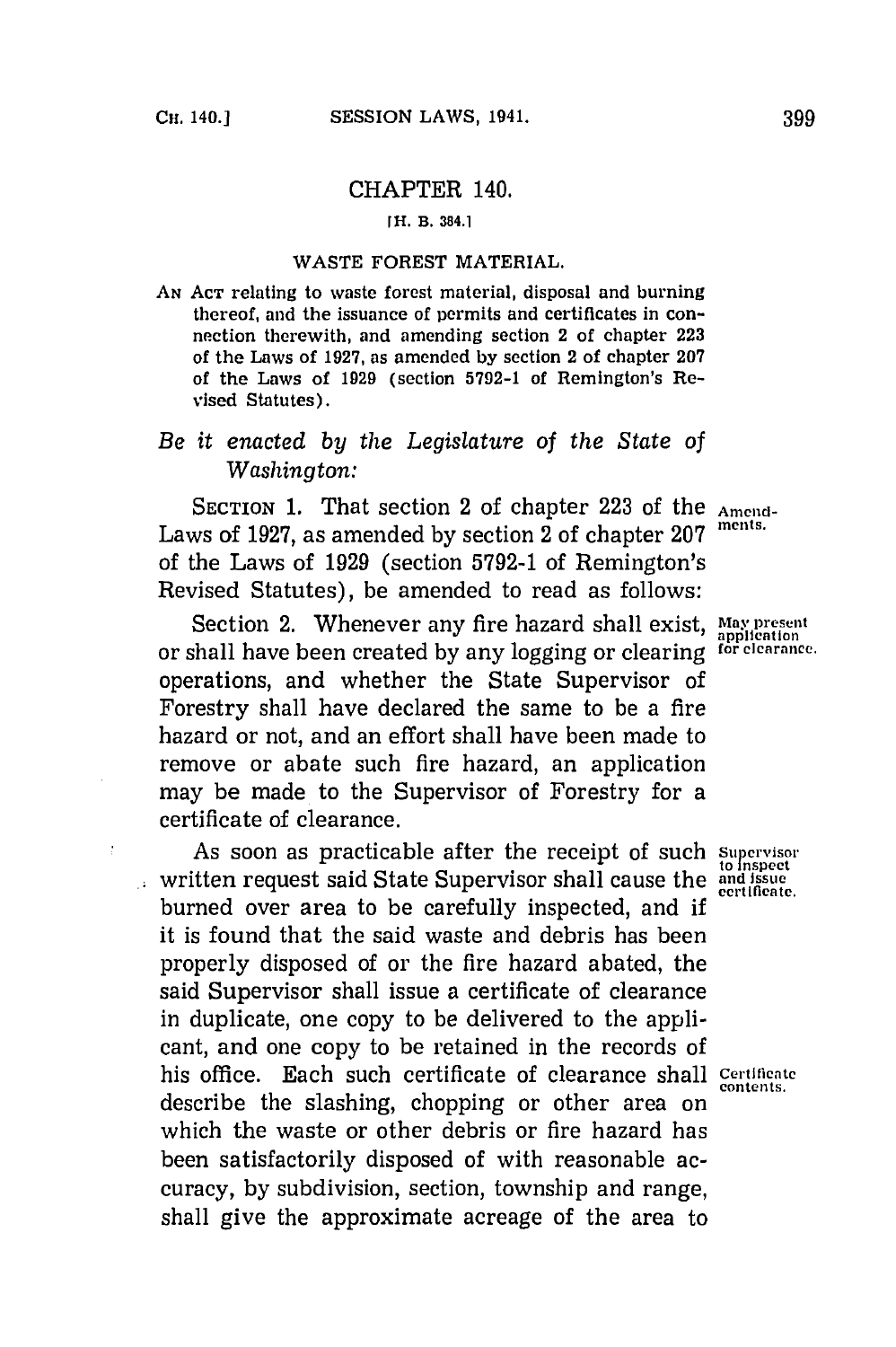Ŷ.

# CHAPTER 140.

#### **[H. B. 384.1**

## WASTE FOREST MATERIAL.

AN Acr relating to waste forest material, disposal and burning thereof, and the issuance of permits and certificates in connection therewith, and amending section 2 of chapter **223** of the Laws of **1927,** as amended **by** section 2 of chapter **207** of the Laws of **1929** (section **5792-1** of Remington's Revised Statutes).

# *Be it enacted by the Legislature of the State of Washington:*

SECTION 1. That section 2 of chapter 223 of the Amend-Laws of 1927, as amended by section 2 of chapter 207 of the Laws of **1929** (section **5792-1** of Remington's Revised Statutes), be amended to read as follows:

Section 2. Whenever any fire hazard shall exist, May present or shall have been created **by** any logging or clearing **for clearance.** operations, and whether the State Supervisor of Forestry shall have declared the same to be a fire hazard or not, and an effort shall have been made to remove or abate such fire hazard, an application may be made to the Supervisor of Forestry for a certificate of clearance.

As soon as practicable after the receipt of such *Supervisor* written request said State Supervisor shall cause the **and issue** burned over area to be carefully inspected, and **if** it is found that the said waste and debris has been properly disposed of or the fire hazard abated, the said Supervisor shall issue a certificate of clearance in duplicate, one copy to be delivered to the applicant, and one copy to be retained in the records of his office. Each such certificate of clearance shall **Certiflcate** describe the slashing, chopping or other area on which the waste or other debris or fire hazard has been satisfactorily disposed of with reasonable accuracy, **by** subdivision, section, township and range, shall give the approximate acreage of the area to

**contents.**